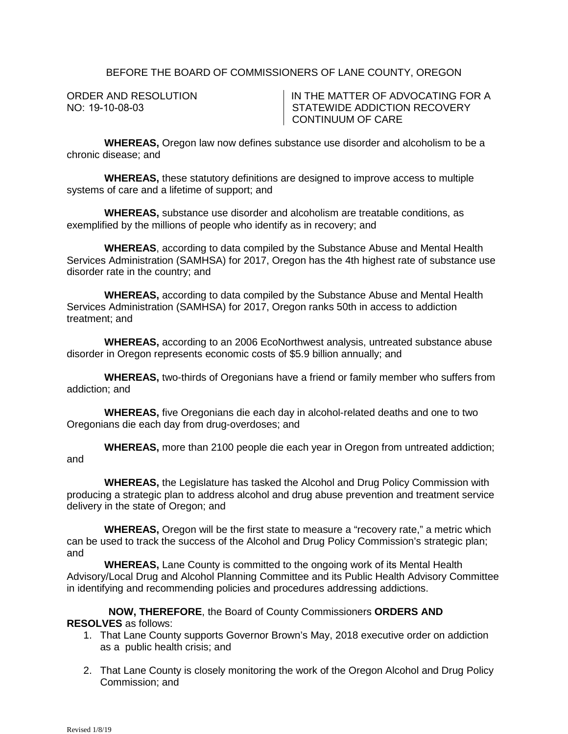## BEFORE THE BOARD OF COMMISSIONERS OF LANE COUNTY, OREGON

ORDER AND RESOLUTION NO: 19-10-08-03

IN THE MATTER OF ADVOCATING FOR A STATEWIDE ADDICTION RECOVERY CONTINUUM OF CARE

**WHEREAS,** Oregon law now defines substance use disorder and alcoholism to be a chronic disease; and

**WHEREAS,** these statutory definitions are designed to improve access to multiple systems of care and a lifetime of support; and

**WHEREAS,** substance use disorder and alcoholism are treatable conditions, as exemplified by the millions of people who identify as in recovery; and

**WHEREAS**, according to data compiled by the Substance Abuse and Mental Health Services Administration (SAMHSA) for 2017, Oregon has the 4th highest rate of substance use disorder rate in the country; and

**WHEREAS,** according to data compiled by the Substance Abuse and Mental Health Services Administration (SAMHSA) for 2017, Oregon ranks 50th in access to addiction treatment; and

**WHEREAS,** according to an 2006 EcoNorthwest analysis, untreated substance abuse disorder in Oregon represents economic costs of \$5.9 billion annually; and

**WHEREAS,** two-thirds of Oregonians have a friend or family member who suffers from addiction; and

**WHEREAS,** five Oregonians die each day in alcohol-related deaths and one to two Oregonians die each day from drug-overdoses; and

**WHEREAS,** more than 2100 people die each year in Oregon from untreated addiction; and

## **WHEREAS,** the Legislature has tasked the Alcohol and Drug Policy Commission with producing a strategic plan to address alcohol and drug abuse prevention and treatment service delivery in the state of Oregon; and

**WHEREAS,** Oregon will be the first state to measure a "recovery rate," a metric which can be used to track the success of the Alcohol and Drug Policy Commission's strategic plan; and

**WHEREAS,** Lane County is committed to the ongoing work of its Mental Health Advisory/Local Drug and Alcohol Planning Committee and its Public Health Advisory Committee in identifying and recommending policies and procedures addressing addictions.

## **NOW, THEREFORE**, the Board of County Commissioners **ORDERS AND RESOLVES** as follows:

- 1. That Lane County supports Governor Brown's May, 2018 executive order on addiction as a public health crisis; and
- 2. That Lane County is closely monitoring the work of the Oregon Alcohol and Drug Policy Commission; and